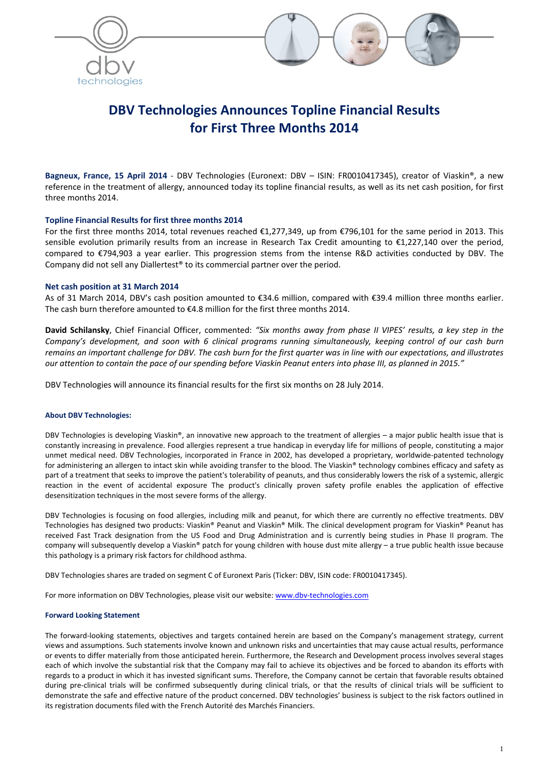



# **DBV Technologies Announces Topline Financial Results for First Three Months 2014**

**Bagneux, France, 15 April 2014** ‐ DBV Technologies (Euronext: DBV – ISIN: FR0010417345), creator of Viaskin®, a new reference in the treatment of allergy, announced today its topline financial results, as well as its net cash position, for first three months 2014.

## **Topline Financial Results for first three months 2014**

For the first three months 2014, total revenues reached €1,277,349, up from €796,101 for the same period in 2013. This sensible evolution primarily results from an increase in Research Tax Credit amounting to €1,227,140 over the period, compared to €794,903 a year earlier. This progression stems from the intense R&D activities conducted by DBV. The Company did not sell any Diallertest® to its commercial partner over the period.

## **Net cash position at 31 March 2014**

As of 31 March 2014, DBV's cash position amounted to €34.6 million, compared with €39.4 million three months earlier. The cash burn therefore amounted to  $\epsilon$ 4.8 million for the first three months 2014.

**David Schilansky**, Chief Financial Officer, commented: *"Six months away from phase II VIPES' results, a key step in the* Company's development, and soon with 6 clinical programs running simultaneously, keeping control of our cash burn remains an important challenge for DBV. The cash burn for the first quarter was in line with our expectations, and illustrates our attention to contain the pace of our spending before Viaskin Peanut enters into phase III, as planned in 2015."

DBV Technologies will announce its financial results for the first six months on 28 July 2014.

#### **About DBV Technologies:**

DBV Technologies is developing Viaskin®, an innovative new approach to the treatment of allergies – a major public health issue that is constantly increasing in prevalence. Food allergies represent a true handicap in everyday life for millions of people, constituting a major unmet medical need. DBV Technologies, incorporated in France in 2002, has developed a proprietary, worldwide‐patented technology for administering an allergen to intact skin while avoiding transfer to the blood. The Viaskin® technology combines efficacy and safety as part of a treatment that seeks to improve the patient's tolerability of peanuts, and thus considerably lowers the risk of a systemic, allergic reaction in the event of accidental exposure The product's clinically proven safety profile enables the application of effective desensitization techniques in the most severe forms of the allergy.

DBV Technologies is focusing on food allergies, including milk and peanut, for which there are currently no effective treatments. DBV Technologies has designed two products: Viaskin® Peanut and Viaskin® Milk. The clinical development program for Viaskin® Peanut has received Fast Track designation from the US Food and Drug Administration and is currently being studies in Phase II program. The company will subsequently develop a Viaskin® patch for young children with house dust mite allergy – a true public health issue because this pathology is a primary risk factors for childhood asthma.

DBV Technologies shares are traded on segment C of Euronext Paris (Ticker: DBV, ISIN code: FR0010417345).

For more information on DBV Technologies, please visit our website: www.dbv-technologies.com

#### **Forward Looking Statement**

The forward‐looking statements, objectives and targets contained herein are based on the Company's management strategy, current views and assumptions. Such statements involve known and unknown risks and uncertainties that may cause actual results, performance or events to differ materially from those anticipated herein. Furthermore, the Research and Development process involves several stages each of which involve the substantial risk that the Company may fail to achieve its objectives and be forced to abandon its efforts with regards to a product in which it has invested significant sums. Therefore, the Company cannot be certain that favorable results obtained during pre‐clinical trials will be confirmed subsequently during clinical trials, or that the results of clinical trials will be sufficient to demonstrate the safe and effective nature of the product concerned. DBV technologies' business is subject to the risk factors outlined in its registration documents filed with the French Autorité des Marchés Financiers.